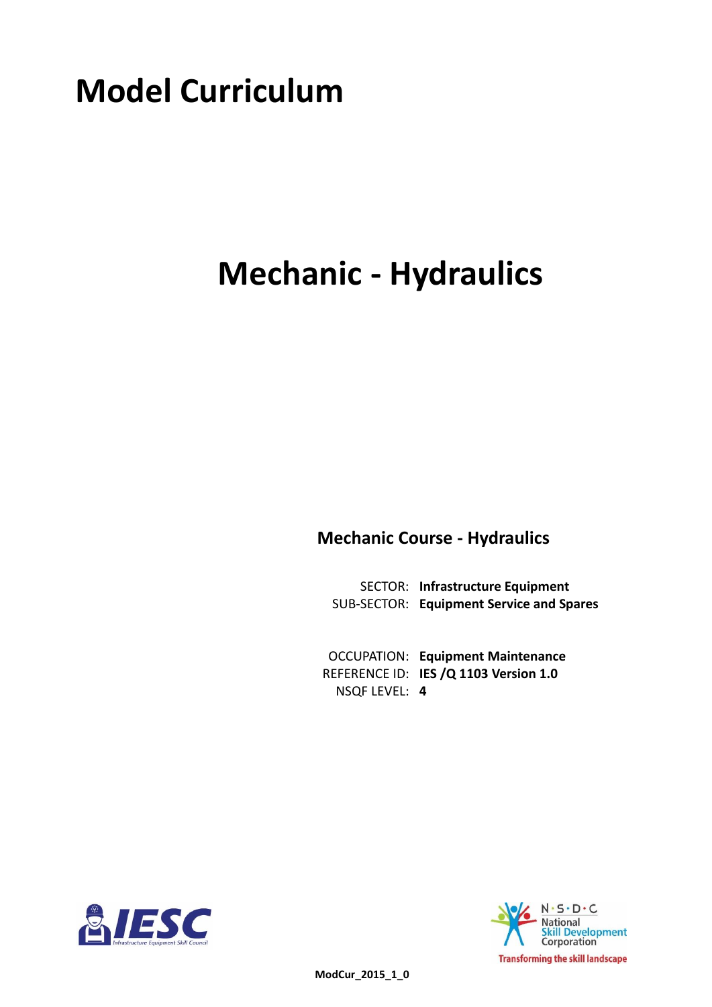# **Model Curriculum**

# **Mechanic - Hydraulics**

**Mechanic Course - Hydraulics**

**Infrastructure Equipment** SECTOR: **Equipment Service and Spares** SUB-SECTOR:

**Equipment Maintenance** OCCUPATION: REFERENCE ID: IES /Q 1103 Version 1.0 **4** NSQF LEVEL:



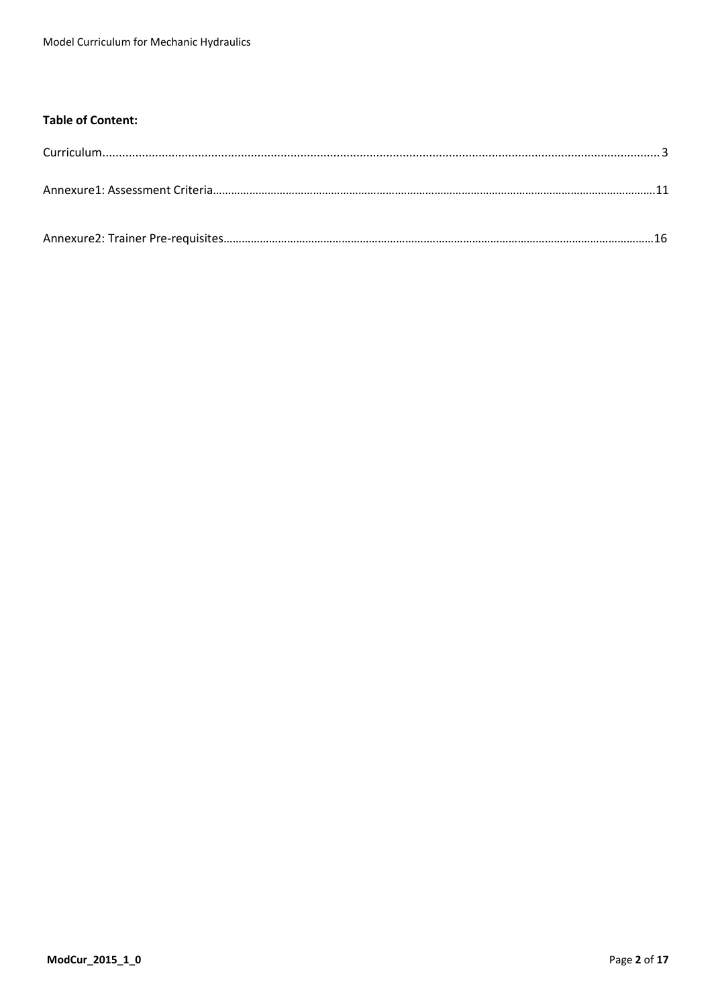#### **Table of Content:**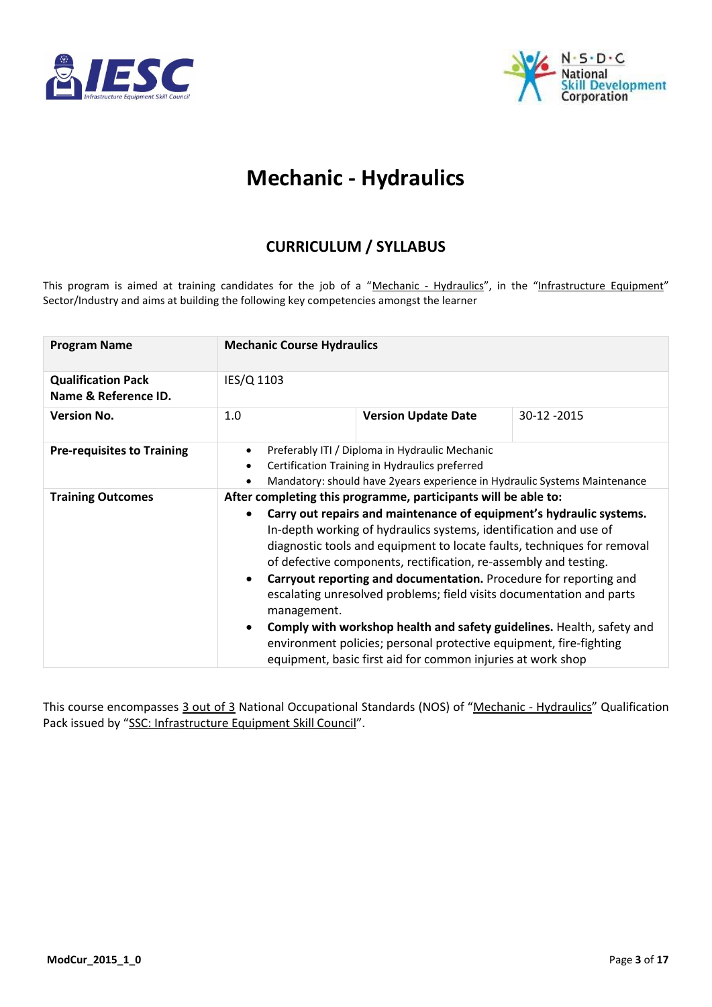<span id="page-2-0"></span>



### **Mechanic - Hydraulics**

### **CURRICULUM / SYLLABUS**

This program is aimed at training candidates for the job of a "Mechanic - Hydraulics", in the "Infrastructure Equipment" Sector/Industry and aims at building the following key competencies amongst the learner

| <b>Program Name</b>                               | <b>Mechanic Course Hydraulics</b>                                                                                                                                                                                                                                                                                                                                                                                                                                                                                                                                                                                                                                                                                                                                                                                                                       |                                                                                                  |             |  |  |  |
|---------------------------------------------------|---------------------------------------------------------------------------------------------------------------------------------------------------------------------------------------------------------------------------------------------------------------------------------------------------------------------------------------------------------------------------------------------------------------------------------------------------------------------------------------------------------------------------------------------------------------------------------------------------------------------------------------------------------------------------------------------------------------------------------------------------------------------------------------------------------------------------------------------------------|--------------------------------------------------------------------------------------------------|-------------|--|--|--|
| <b>Qualification Pack</b><br>Name & Reference ID. | IES/Q 1103                                                                                                                                                                                                                                                                                                                                                                                                                                                                                                                                                                                                                                                                                                                                                                                                                                              |                                                                                                  |             |  |  |  |
| <b>Version No.</b>                                | 1.0                                                                                                                                                                                                                                                                                                                                                                                                                                                                                                                                                                                                                                                                                                                                                                                                                                                     | <b>Version Update Date</b>                                                                       | 30-12 -2015 |  |  |  |
| <b>Pre-requisites to Training</b>                 | $\bullet$<br>$\bullet$                                                                                                                                                                                                                                                                                                                                                                                                                                                                                                                                                                                                                                                                                                                                                                                                                                  | Preferably ITI / Diploma in Hydraulic Mechanic<br>Certification Training in Hydraulics preferred |             |  |  |  |
| <b>Training Outcomes</b>                          | Mandatory: should have 2years experience in Hydraulic Systems Maintenance<br>After completing this programme, participants will be able to:<br>Carry out repairs and maintenance of equipment's hydraulic systems.<br>$\bullet$<br>In-depth working of hydraulics systems, identification and use of<br>diagnostic tools and equipment to locate faults, techniques for removal<br>of defective components, rectification, re-assembly and testing.<br>Carryout reporting and documentation. Procedure for reporting and<br>$\bullet$<br>escalating unresolved problems; field visits documentation and parts<br>management.<br>Comply with workshop health and safety guidelines. Health, safety and<br>$\bullet$<br>environment policies; personal protective equipment, fire-fighting<br>equipment, basic first aid for common injuries at work shop |                                                                                                  |             |  |  |  |

This course encompasses 3 out of 3 National Occupational Standards (NOS) of "Mechanic - Hydraulics" Qualification Pack issued by "SSC: Infrastructure Equipment Skill Council".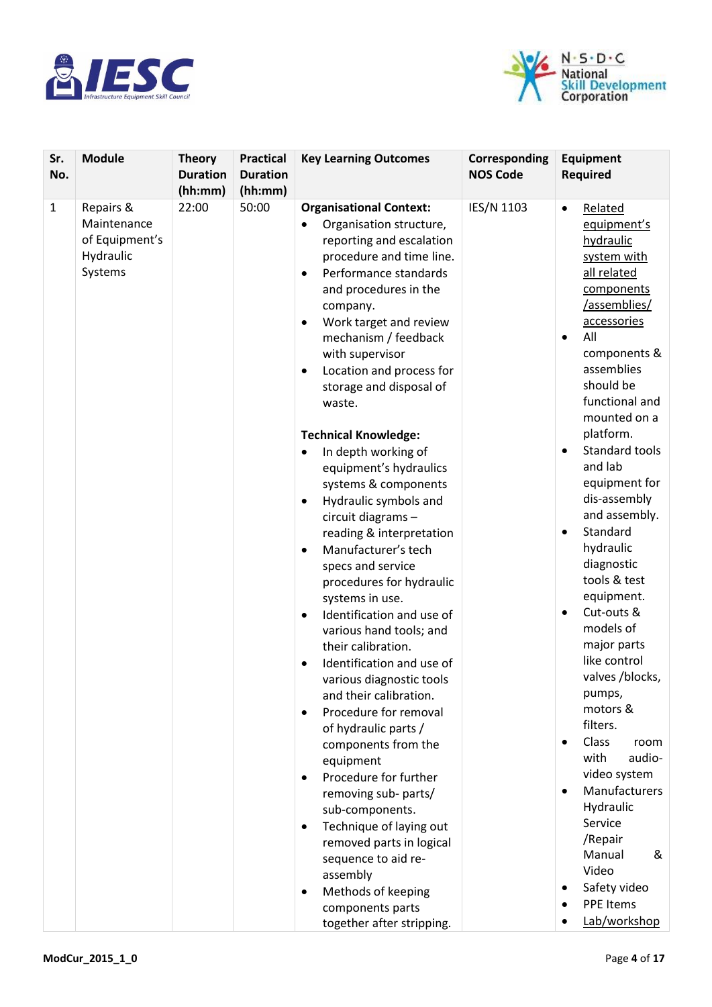



| Sr.<br>No.   | <b>Module</b>                                                      | <b>Theory</b><br><b>Duration</b><br>(hh:mm) | <b>Practical</b><br><b>Duration</b><br>(hh:mm) | <b>Key Learning Outcomes</b>                                                                                                                                                                                                                                                                                                                                                                                                                                                                                                                                                                          | Corresponding<br><b>NOS Code</b> | Equipment<br><b>Required</b>                                                                                                                                                                                                                                                                                                                                           |
|--------------|--------------------------------------------------------------------|---------------------------------------------|------------------------------------------------|-------------------------------------------------------------------------------------------------------------------------------------------------------------------------------------------------------------------------------------------------------------------------------------------------------------------------------------------------------------------------------------------------------------------------------------------------------------------------------------------------------------------------------------------------------------------------------------------------------|----------------------------------|------------------------------------------------------------------------------------------------------------------------------------------------------------------------------------------------------------------------------------------------------------------------------------------------------------------------------------------------------------------------|
| $\mathbf{1}$ | Repairs &<br>Maintenance<br>of Equipment's<br>Hydraulic<br>Systems | 22:00                                       | 50:00                                          | <b>Organisational Context:</b><br>Organisation structure,<br>reporting and escalation<br>procedure and time line.<br>Performance standards<br>$\bullet$<br>and procedures in the<br>company.<br>Work target and review<br>$\bullet$<br>mechanism / feedback<br>with supervisor<br>Location and process for<br>storage and disposal of<br>waste.                                                                                                                                                                                                                                                       | IES/N 1103                       | Related<br>$\bullet$<br>equipment's<br>hydraulic<br>system with<br>all related<br>components<br>/assemblies/<br>accessories<br>All<br>$\bullet$<br>components &<br>assemblies<br>should be<br>functional and<br>mounted on a                                                                                                                                           |
|              |                                                                    |                                             |                                                | <b>Technical Knowledge:</b><br>In depth working of<br>٠<br>equipment's hydraulics<br>systems & components<br>Hydraulic symbols and<br>$\bullet$<br>circuit diagrams -<br>reading & interpretation<br>Manufacturer's tech<br>$\bullet$<br>specs and service<br>procedures for hydraulic<br>systems in use.<br>Identification and use of<br>$\bullet$<br>various hand tools; and<br>their calibration.<br>Identification and use of<br>various diagnostic tools<br>and their calibration.<br>Procedure for removal<br>of hydraulic parts /<br>components from the<br>equipment<br>Procedure for further |                                  | platform.<br>Standard tools<br>$\bullet$<br>and lab<br>equipment for<br>dis-assembly<br>and assembly.<br>Standard<br>$\bullet$<br>hydraulic<br>diagnostic<br>tools & test<br>equipment.<br>Cut-outs &<br>$\bullet$<br>models of<br>major parts<br>like control<br>valves /blocks,<br>pumps,<br>motors &<br>filters.<br>Class<br>room<br>with<br>audio-<br>video system |
|              |                                                                    |                                             |                                                | removing sub- parts/<br>sub-components.<br>Technique of laying out<br>removed parts in logical<br>sequence to aid re-<br>assembly<br>Methods of keeping<br>٠<br>components parts<br>together after stripping.                                                                                                                                                                                                                                                                                                                                                                                         |                                  | Manufacturers<br>Hydraulic<br>Service<br>/Repair<br>Manual<br>&<br>Video<br>Safety video<br><b>PPE Items</b><br>Lab/workshop                                                                                                                                                                                                                                           |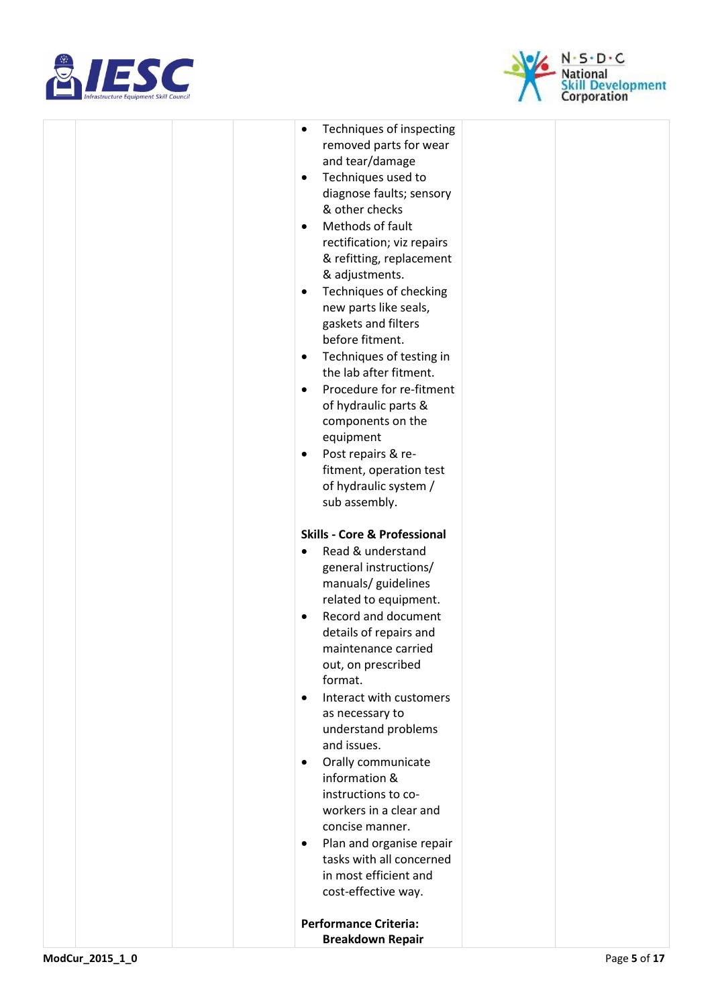



|  | Techniques of inspecting<br>$\bullet$   |  |
|--|-----------------------------------------|--|
|  | removed parts for wear                  |  |
|  | and tear/damage                         |  |
|  | Techniques used to<br>$\bullet$         |  |
|  | diagnose faults; sensory                |  |
|  | & other checks                          |  |
|  | Methods of fault<br>$\bullet$           |  |
|  | rectification; viz repairs              |  |
|  | & refitting, replacement                |  |
|  | & adjustments.                          |  |
|  | Techniques of checking<br>$\bullet$     |  |
|  | new parts like seals,                   |  |
|  |                                         |  |
|  | gaskets and filters<br>before fitment.  |  |
|  |                                         |  |
|  | Techniques of testing in<br>$\bullet$   |  |
|  | the lab after fitment.                  |  |
|  | Procedure for re-fitment<br>$\bullet$   |  |
|  | of hydraulic parts &                    |  |
|  | components on the                       |  |
|  | equipment                               |  |
|  | Post repairs & re-<br>$\bullet$         |  |
|  | fitment, operation test                 |  |
|  | of hydraulic system /                   |  |
|  | sub assembly.                           |  |
|  | <b>Skills - Core &amp; Professional</b> |  |
|  |                                         |  |
|  | Read & understand<br>$\bullet$          |  |
|  | general instructions/                   |  |
|  | manuals/ guidelines                     |  |
|  | related to equipment.                   |  |
|  | Record and document<br>$\bullet$        |  |
|  | details of repairs and                  |  |
|  | maintenance carried                     |  |
|  | out, on prescribed                      |  |
|  | format.                                 |  |
|  | Interact with customers<br>$\bullet$    |  |
|  | as necessary to                         |  |
|  | understand problems                     |  |
|  | and issues.                             |  |
|  | Orally communicate<br>$\bullet$         |  |
|  | information &                           |  |
|  | instructions to co-                     |  |
|  | workers in a clear and                  |  |
|  | concise manner.                         |  |
|  | Plan and organise repair<br>$\bullet$   |  |
|  | tasks with all concerned                |  |
|  | in most efficient and                   |  |
|  | cost-effective way.                     |  |
|  |                                         |  |
|  | <b>Performance Criteria:</b>            |  |
|  | <b>Breakdown Repair</b>                 |  |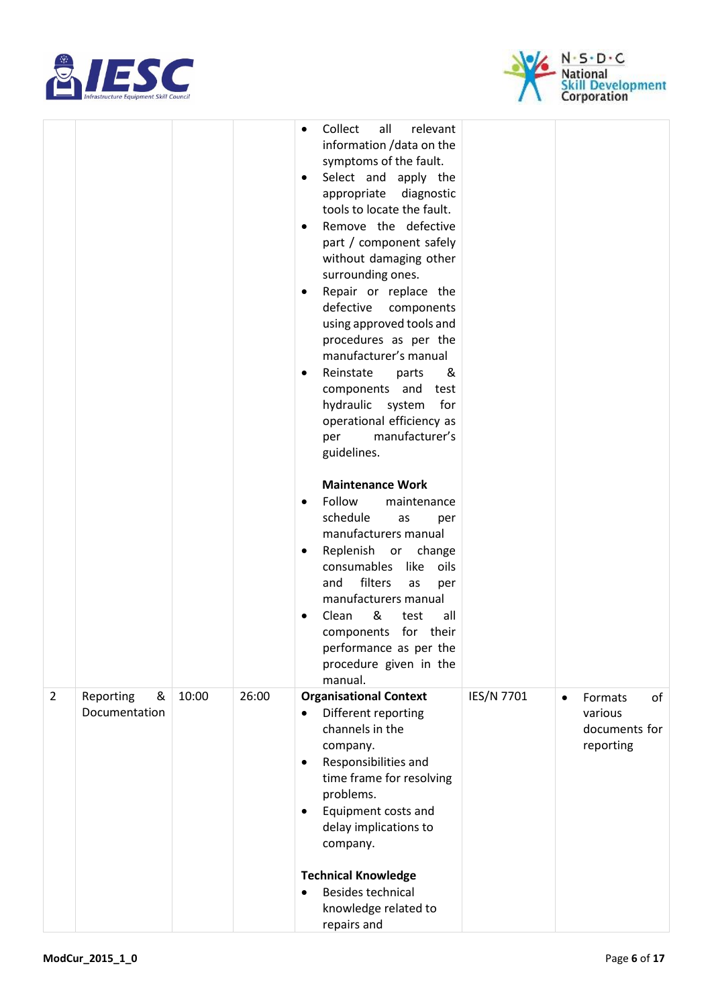



|                |                                 |       |       | $\bullet$<br>٠<br>$\bullet$<br>٠<br>٠ | Collect<br>all<br>relevant<br>information / data on the<br>symptoms of the fault.<br>Select and apply the<br>diagnostic<br>appropriate<br>tools to locate the fault.<br>Remove the defective<br>part / component safely<br>without damaging other<br>surrounding ones.<br>Repair or replace the<br>defective components<br>using approved tools and<br>procedures as per the<br>manufacturer's manual<br>Reinstate<br>&<br>parts<br>components and test<br>hydraulic<br>system<br>for<br>operational efficiency as<br>manufacturer's<br>per<br>guidelines. |            |           |                                                  |    |
|----------------|---------------------------------|-------|-------|---------------------------------------|------------------------------------------------------------------------------------------------------------------------------------------------------------------------------------------------------------------------------------------------------------------------------------------------------------------------------------------------------------------------------------------------------------------------------------------------------------------------------------------------------------------------------------------------------------|------------|-----------|--------------------------------------------------|----|
|                |                                 |       |       | $\bullet$<br>٠<br>$\bullet$           | <b>Maintenance Work</b><br>Follow<br>maintenance<br>schedule<br>as<br>per<br>manufacturers manual<br>Replenish or change<br>consumables like<br>oils<br>filters<br>and<br>as<br>per<br>manufacturers manual<br>&<br>Clean<br>test<br>all<br>components for their<br>performance as per the<br>procedure given in the<br>manual.                                                                                                                                                                                                                            |            |           |                                                  |    |
| $\overline{2}$ | Reporting<br>&<br>Documentation | 10:00 | 26:00 | $\bullet$<br>$\bullet$                | <b>Organisational Context</b><br>Different reporting<br>channels in the<br>company.<br>Responsibilities and<br>time frame for resolving<br>problems.<br>Equipment costs and<br>delay implications to<br>company.<br><b>Technical Knowledge</b><br>Besides technical<br>knowledge related to<br>repairs and                                                                                                                                                                                                                                                 | IES/N 7701 | $\bullet$ | Formats<br>various<br>documents for<br>reporting | of |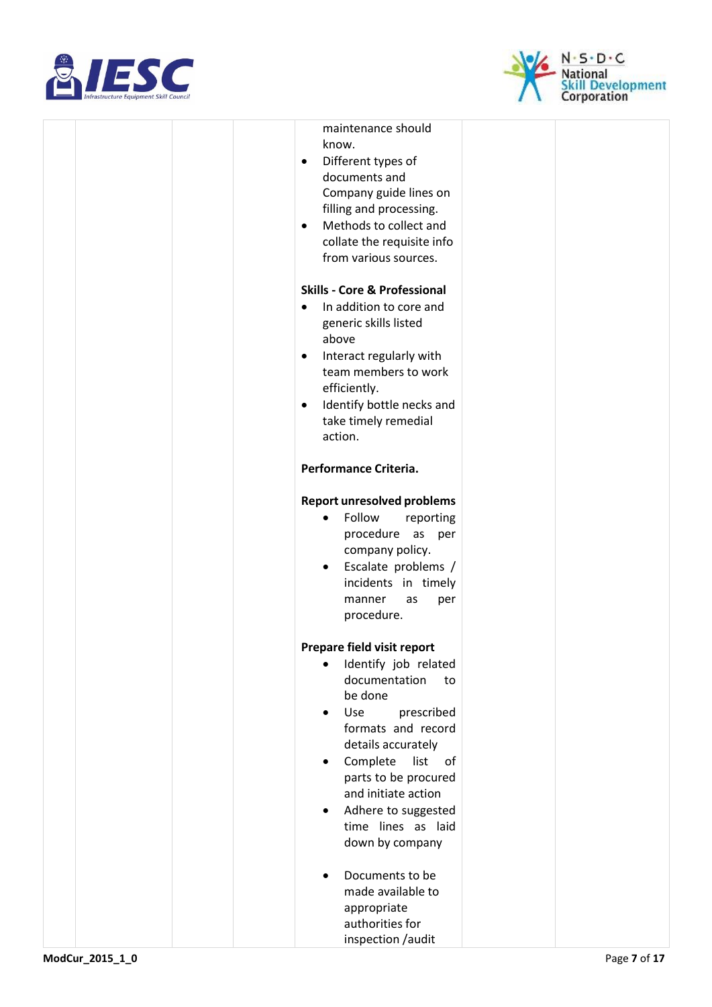



|  | maintenance should<br>know.<br>Different types of<br>$\bullet$<br>documents and<br>Company guide lines on<br>filling and processing.<br>Methods to collect and<br>$\bullet$<br>collate the requisite info<br>from various sources.                                                                                            |  |
|--|-------------------------------------------------------------------------------------------------------------------------------------------------------------------------------------------------------------------------------------------------------------------------------------------------------------------------------|--|
|  | <b>Skills - Core &amp; Professional</b><br>In addition to core and<br>$\bullet$<br>generic skills listed<br>above<br>Interact regularly with<br>$\bullet$<br>team members to work<br>efficiently.<br>Identify bottle necks and<br>$\bullet$<br>take timely remedial                                                           |  |
|  | action.<br>Performance Criteria.                                                                                                                                                                                                                                                                                              |  |
|  | <b>Report unresolved problems</b><br>Follow<br>reporting<br>$\bullet$<br>procedure as<br>per<br>company policy.<br>Escalate problems /<br>$\bullet$<br>incidents in timely<br>manner<br>as<br>per<br>procedure.                                                                                                               |  |
|  | Prepare field visit report<br>Identify job related<br>documentation<br>to<br>be done<br>Use<br>prescribed<br>$\bullet$<br>formats and record<br>details accurately<br>Complete<br>list<br>of<br>٠<br>parts to be procured<br>and initiate action<br>Adhere to suggested<br>$\bullet$<br>time lines as laid<br>down by company |  |
|  | Documents to be<br>made available to<br>appropriate<br>authorities for<br>inspection /audit                                                                                                                                                                                                                                   |  |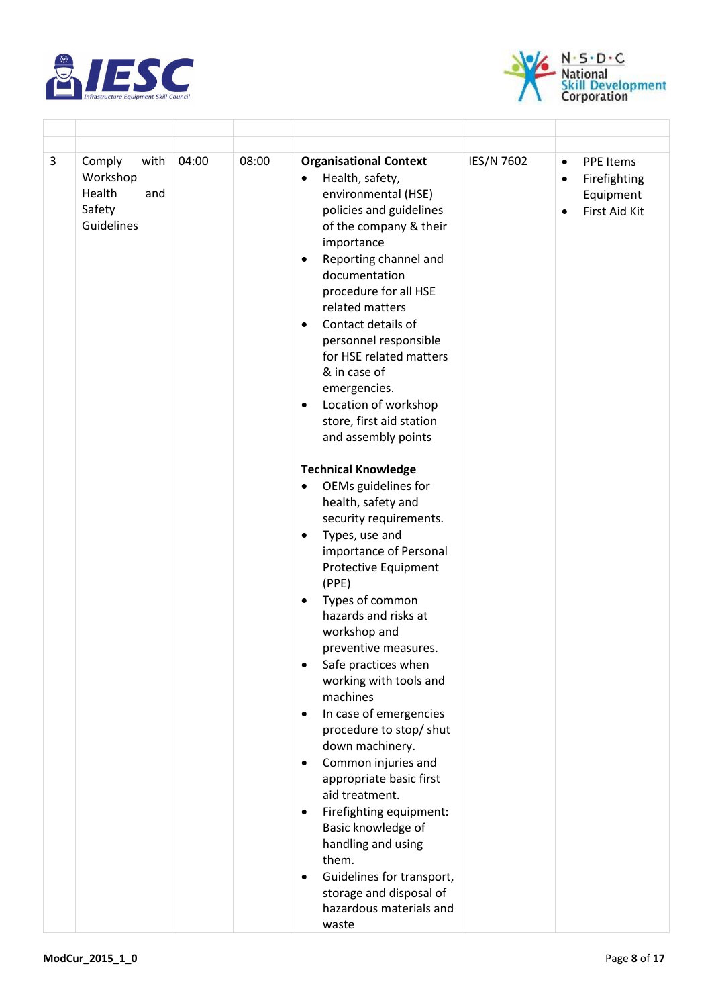

 $\overline{1}$ 



| 3 | Comply<br>with<br>Workshop<br>Health<br>and<br>Safety<br>Guidelines | 04:00 | 08:00 | <b>Organisational Context</b><br>Health, safety,<br>$\bullet$<br>environmental (HSE)<br>policies and guidelines<br>of the company & their                                                                                            | IES/N 7602 | <b>PPE Items</b><br>$\bullet$<br>Firefighting<br>$\bullet$<br>Equipment<br>First Aid Kit<br>$\bullet$ |
|---|---------------------------------------------------------------------|-------|-------|--------------------------------------------------------------------------------------------------------------------------------------------------------------------------------------------------------------------------------------|------------|-------------------------------------------------------------------------------------------------------|
|   |                                                                     |       |       | importance<br>Reporting channel and<br>$\bullet$<br>documentation<br>procedure for all HSE<br>related matters<br>Contact details of<br>$\bullet$<br>personnel responsible<br>for HSE related matters<br>& in case of<br>emergencies. |            |                                                                                                       |
|   |                                                                     |       |       | Location of workshop<br>$\bullet$<br>store, first aid station<br>and assembly points                                                                                                                                                 |            |                                                                                                       |
|   |                                                                     |       |       | <b>Technical Knowledge</b><br>OEMs guidelines for<br>$\bullet$<br>health, safety and<br>security requirements.<br>Types, use and<br>$\bullet$<br>importance of Personal<br><b>Protective Equipment</b>                               |            |                                                                                                       |
|   |                                                                     |       |       | (PPE)<br>Types of common<br>$\bullet$<br>hazards and risks at<br>workshop and<br>preventive measures.<br>Safe practices when<br>working with tools and<br>machines                                                                   |            |                                                                                                       |
|   |                                                                     |       |       | In case of emergencies<br>$\bullet$<br>procedure to stop/ shut<br>down machinery.<br>Common injuries and<br>$\bullet$<br>appropriate basic first                                                                                     |            |                                                                                                       |
|   |                                                                     |       |       | aid treatment.<br>Firefighting equipment:<br>$\bullet$<br>Basic knowledge of<br>handling and using<br>them.<br>Guidelines for transport,<br>$\bullet$<br>storage and disposal of                                                     |            |                                                                                                       |
|   |                                                                     |       |       | hazardous materials and<br>waste                                                                                                                                                                                                     |            |                                                                                                       |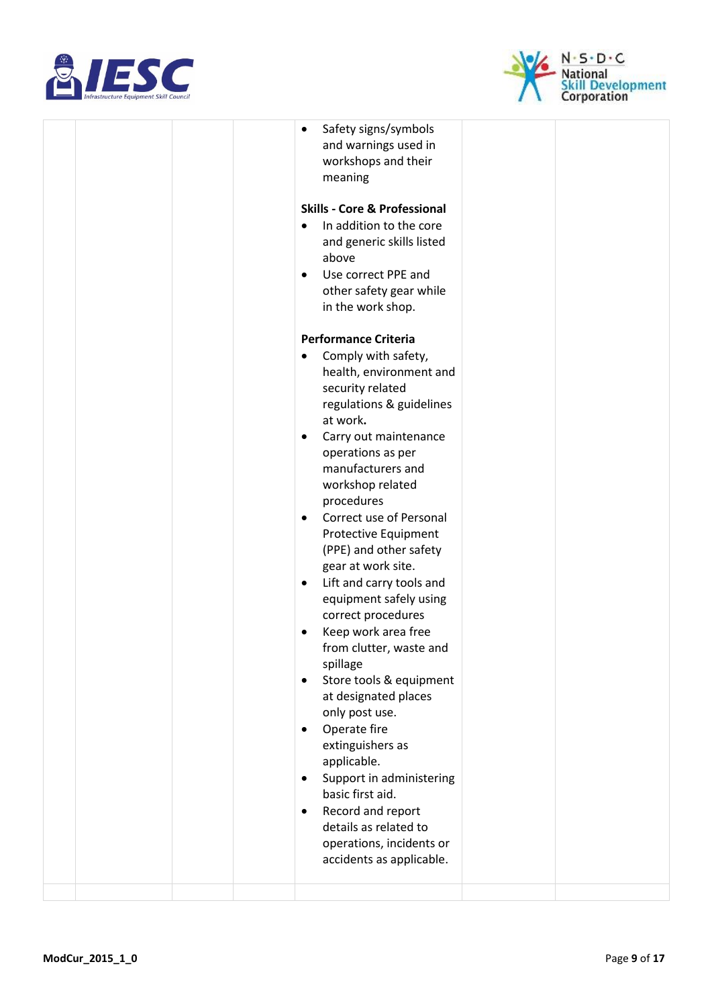



|  | Safety signs/symbols<br>$\bullet$<br>and warnings used in<br>workshops and their<br>meaning                                                                                                               |  |
|--|-----------------------------------------------------------------------------------------------------------------------------------------------------------------------------------------------------------|--|
|  | <b>Skills - Core &amp; Professional</b><br>In addition to the core<br>$\bullet$<br>and generic skills listed<br>above<br>Use correct PPE and<br>$\bullet$<br>other safety gear while<br>in the work shop. |  |
|  | <b>Performance Criteria</b><br>Comply with safety,<br>$\bullet$<br>health, environment and<br>security related<br>regulations & guidelines<br>at work.                                                    |  |
|  | Carry out maintenance<br>$\bullet$<br>operations as per<br>manufacturers and<br>workshop related<br>procedures<br>Correct use of Personal<br>$\bullet$<br>Protective Equipment                            |  |
|  | (PPE) and other safety<br>gear at work site.<br>Lift and carry tools and<br>٠<br>equipment safely using<br>correct procedures<br>Keep work area free<br>$\bullet$<br>from clutter, waste and              |  |
|  | spillage<br>Store tools & equipment<br>$\bullet$<br>at designated places<br>only post use.<br>Operate fire<br>$\bullet$<br>extinguishers as                                                               |  |
|  | applicable.<br>Support in administering<br>$\bullet$<br>basic first aid.<br>Record and report<br>$\bullet$<br>details as related to<br>operations, incidents or<br>accidents as applicable.               |  |
|  |                                                                                                                                                                                                           |  |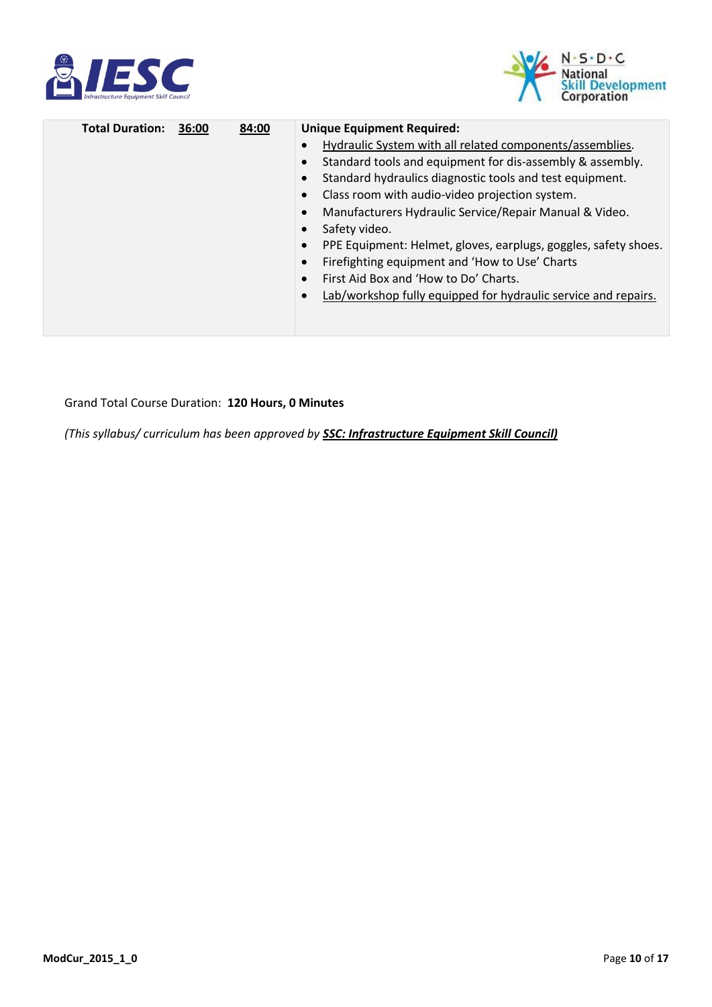



| <b>Total Duration:</b> | 36:00 | 84:00 | <b>Unique Equipment Required:</b>                               |
|------------------------|-------|-------|-----------------------------------------------------------------|
|                        |       |       | Hydraulic System with all related components/assemblies.        |
|                        |       |       | Standard tools and equipment for dis-assembly & assembly.       |
|                        |       |       | Standard hydraulics diagnostic tools and test equipment.        |
|                        |       |       | Class room with audio-video projection system.                  |
|                        |       |       | Manufacturers Hydraulic Service/Repair Manual & Video.          |
|                        |       |       | Safety video.                                                   |
|                        |       |       | PPE Equipment: Helmet, gloves, earplugs, goggles, safety shoes. |
|                        |       |       | Firefighting equipment and 'How to Use' Charts                  |
|                        |       |       | First Aid Box and 'How to Do' Charts.                           |
|                        |       |       | Lab/workshop fully equipped for hydraulic service and repairs.  |
|                        |       |       |                                                                 |
|                        |       |       |                                                                 |

#### Grand Total Course Duration: **120 Hours, 0 Minutes**

*(This syllabus/ curriculum has been approved by SSC: Infrastructure Equipment Skill Council)*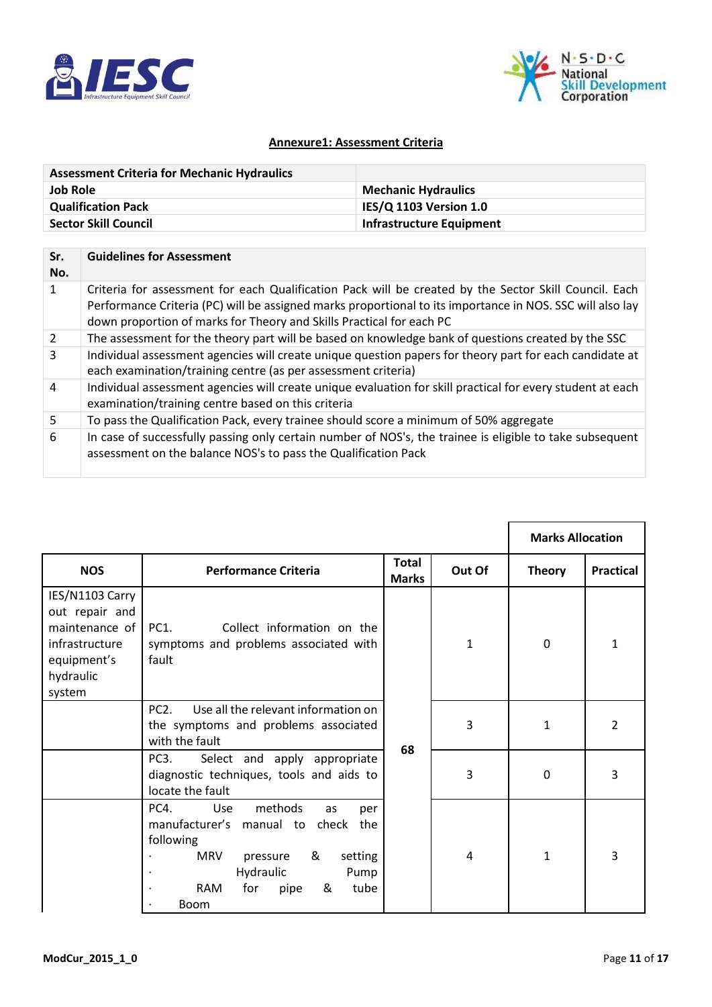



#### **Annexure1: Assessment Criteria**

| <b>Assessment Criteria for Mechanic Hydraulics</b> |                                 |
|----------------------------------------------------|---------------------------------|
| <b>Job Role</b>                                    | <b>Mechanic Hydraulics</b>      |
| <b>Qualification Pack</b>                          | IES/Q 1103 Version 1.0          |
| <b>Sector Skill Council</b>                        | <b>Infrastructure Equipment</b> |

| Sr.<br>No.     | <b>Guidelines for Assessment</b>                                                                                                                                                                                                                                                           |
|----------------|--------------------------------------------------------------------------------------------------------------------------------------------------------------------------------------------------------------------------------------------------------------------------------------------|
|                | Criteria for assessment for each Qualification Pack will be created by the Sector Skill Council. Each<br>Performance Criteria (PC) will be assigned marks proportional to its importance in NOS. SSC will also lay<br>down proportion of marks for Theory and Skills Practical for each PC |
| $\overline{2}$ | The assessment for the theory part will be based on knowledge bank of questions created by the SSC                                                                                                                                                                                         |
| 3              | Individual assessment agencies will create unique question papers for theory part for each candidate at<br>each examination/training centre (as per assessment criteria)                                                                                                                   |
| 4              | Individual assessment agencies will create unique evaluation for skill practical for every student at each<br>examination/training centre based on this criteria                                                                                                                           |
| 5              | To pass the Qualification Pack, every trainee should score a minimum of 50% aggregate                                                                                                                                                                                                      |
| 6              | In case of successfully passing only certain number of NOS's, the trainee is eligible to take subsequent<br>assessment on the balance NOS's to pass the Qualification Pack                                                                                                                 |

|                                                                                                             |                                                                                                                                                                                                                       |                       |        | <b>Marks Allocation</b> |                  |
|-------------------------------------------------------------------------------------------------------------|-----------------------------------------------------------------------------------------------------------------------------------------------------------------------------------------------------------------------|-----------------------|--------|-------------------------|------------------|
| <b>NOS</b>                                                                                                  | <b>Performance Criteria</b>                                                                                                                                                                                           | Total<br><b>Marks</b> | Out Of | <b>Theory</b>           | <b>Practical</b> |
| IES/N1103 Carry<br>out repair and<br>maintenance of<br>infrastructure<br>equipment's<br>hydraulic<br>system | Collect information on the<br>PC1.<br>symptoms and problems associated with<br>fault                                                                                                                                  |                       | 1      | $\mathbf 0$             | $\mathbf{1}$     |
|                                                                                                             | PC2.<br>Use all the relevant information on<br>the symptoms and problems associated<br>with the fault                                                                                                                 | 68                    | 3      | $\mathbf{1}$            | $\overline{2}$   |
|                                                                                                             | Select and apply appropriate<br>PC3.<br>diagnostic techniques, tools and aids to<br>locate the fault                                                                                                                  |                       | 3      | 0                       | 3                |
|                                                                                                             | PC4.<br>methods<br><b>Use</b><br>as<br>per<br>manufacturer's manual to check the<br>following<br><b>MRV</b><br>&<br>setting<br>pressure<br>Hydraulic<br>Pump<br><b>RAM</b><br>for<br>&<br>tube<br>pipe<br><b>Boom</b> |                       | 4      | $\mathbf{1}$            | 3                |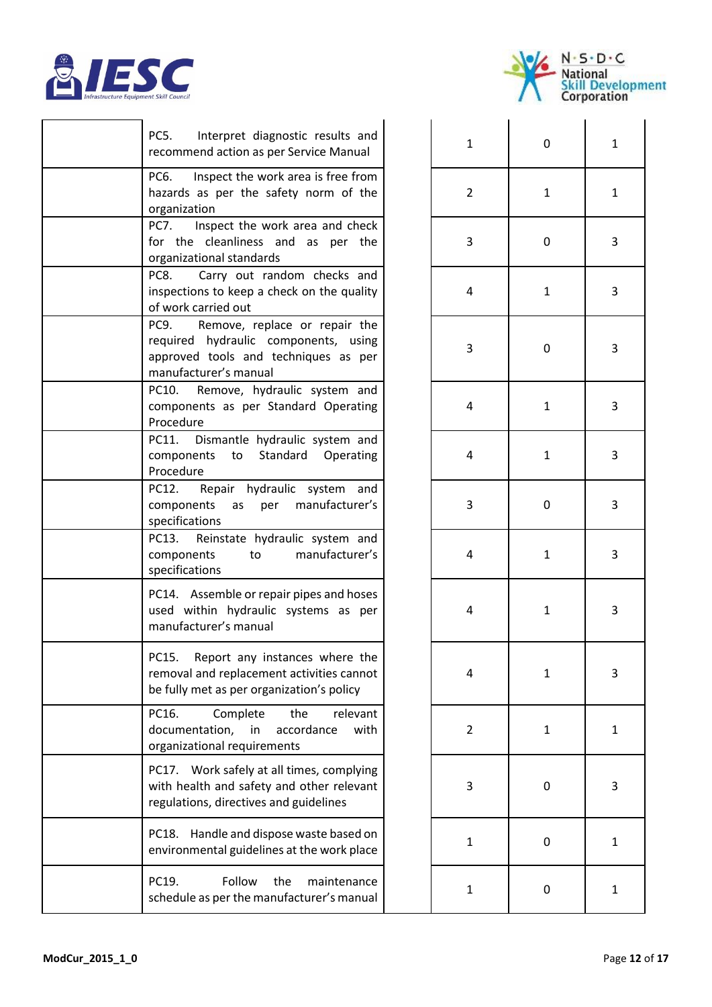



| Interpret diagnostic results and<br>PC5.<br>recommend action as per Service Manual                                                             | $\mathbf{1}$   | 0            | 1 |
|------------------------------------------------------------------------------------------------------------------------------------------------|----------------|--------------|---|
| Inspect the work area is free from<br>PC6.<br>hazards as per the safety norm of the<br>organization                                            | $\overline{2}$ | 1            | 1 |
| Inspect the work area and check<br><b>PC7.</b><br>for the cleanliness and as per the<br>organizational standards                               | 3              | 0            | 3 |
| PC8.<br>Carry out random checks and<br>inspections to keep a check on the quality<br>of work carried out                                       | 4              | 1            | 3 |
| Remove, replace or repair the<br>PC9.<br>required hydraulic components, using<br>approved tools and techniques as per<br>manufacturer's manual | 3              | 0            | 3 |
| Remove, hydraulic system and<br>PC10.<br>components as per Standard Operating<br>Procedure                                                     | 4              | 1            | 3 |
| Dismantle hydraulic system and<br>PC11.<br>to Standard Operating<br>components<br>Procedure                                                    | 4              | $\mathbf{1}$ | 3 |
| PC12.<br>Repair hydraulic system and<br>per manufacturer's<br>components<br>as<br>specifications                                               | 3              | 0            | 3 |
| Reinstate hydraulic system and<br>PC13.<br>manufacturer's<br>components<br>to to<br>specifications                                             | 4              | $\mathbf{1}$ | 3 |
| PC14. Assemble or repair pipes and hoses<br>used within hydraulic systems as per<br>manufacturer's manual                                      | 4              | 1            | 3 |
| Report any instances where the<br>PC15.<br>removal and replacement activities cannot<br>be fully met as per organization's policy              | 4              | $\mathbf{1}$ | 3 |
| PC16.<br>the<br>Complete<br>relevant<br>documentation,<br>in<br>accordance<br>with<br>organizational requirements                              | $\overline{2}$ | $\mathbf{1}$ | 1 |
| PC17. Work safely at all times, complying<br>with health and safety and other relevant<br>regulations, directives and guidelines               | 3              | 0            | 3 |
| PC18. Handle and dispose waste based on<br>environmental guidelines at the work place                                                          | $\mathbf{1}$   | $\mathbf 0$  | 1 |
| PC19.<br>Follow<br>the<br>maintenance<br>schedule as per the manufacturer's manual                                                             | $\mathbf{1}$   | 0            | 1 |

| $\mathbf{1}$            | $\mathbf{0}$ | $\mathbf{1}$            |
|-------------------------|--------------|-------------------------|
| $\overline{\mathbf{c}}$ | $\mathbf{1}$ | $\mathbf{1}$            |
| 3                       | $\mathbf{0}$ | 3                       |
| 4                       | $\mathbf{1}$ | 3                       |
| 3                       | $\mathbf{0}$ | 3                       |
| 4                       | $\mathbf{1}$ | 3                       |
| 4                       | $\mathbf{1}$ | 3                       |
| 3                       | $\mathbf{0}$ | 3                       |
| 4                       | $\mathbf{1}$ | 3                       |
| 4                       | $\mathbf{1}$ | 3                       |
| $\overline{a}$          | $\mathbf{1}$ | $\overline{\mathbf{3}}$ |
| $\overline{\mathbf{c}}$ | $\mathbf{1}$ | $\mathbf{1}$            |
| 3                       | $\mathbf{O}$ | 3                       |
| $\mathbf{1}$            | $\mathbf{0}$ | $\mathbf{1}$            |
| $\mathbf{1}$            | $\mathbf{0}$ | $\mathbf{1}$            |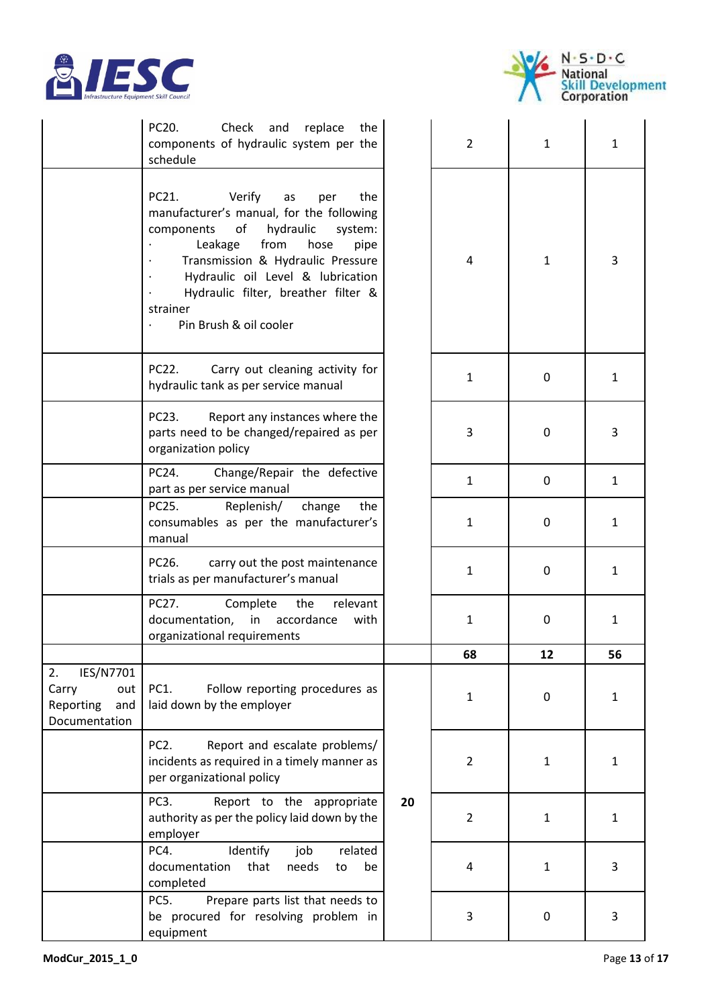



|                                                                      | PC20.<br>Check<br>and<br>replace<br>the<br>components of hydraulic system per the<br>schedule                                                                                                                                                                                                                         |    | $\overline{2}$ | 1                | 1            |
|----------------------------------------------------------------------|-----------------------------------------------------------------------------------------------------------------------------------------------------------------------------------------------------------------------------------------------------------------------------------------------------------------------|----|----------------|------------------|--------------|
|                                                                      | Verify<br>the<br>PC21.<br>as<br>per<br>manufacturer's manual, for the following<br>of<br>hydraulic<br>components<br>system:<br>from<br>Leakage<br>hose<br>pipe<br>Transmission & Hydraulic Pressure<br>Hydraulic oil Level & lubrication<br>Hydraulic filter, breather filter &<br>strainer<br>Pin Brush & oil cooler |    | 4              | $\mathbf{1}$     | 3            |
|                                                                      | PC22.<br>Carry out cleaning activity for<br>hydraulic tank as per service manual                                                                                                                                                                                                                                      |    | $\mathbf{1}$   | $\mathbf 0$      | $\mathbf{1}$ |
|                                                                      | PC23.<br>Report any instances where the<br>parts need to be changed/repaired as per<br>organization policy                                                                                                                                                                                                            |    | 3              | $\mathbf 0$      | 3            |
|                                                                      | Change/Repair the defective<br>PC24.<br>part as per service manual                                                                                                                                                                                                                                                    |    | $\mathbf{1}$   | 0                | $\mathbf{1}$ |
|                                                                      | PC25.<br>Replenish/<br>change<br>the<br>consumables as per the manufacturer's<br>manual                                                                                                                                                                                                                               |    | $\mathbf{1}$   | 0                | $\mathbf{1}$ |
|                                                                      | PC26.<br>carry out the post maintenance<br>trials as per manufacturer's manual                                                                                                                                                                                                                                        |    | $\mathbf{1}$   | 0                | $\mathbf{1}$ |
|                                                                      | PC27.<br>Complete<br>the<br>relevant<br>accordance<br>documentation,<br>in<br>with<br>organizational requirements                                                                                                                                                                                                     |    | $\mathbf{1}$   | $\mathbf 0$      | 1            |
|                                                                      |                                                                                                                                                                                                                                                                                                                       |    | 68             | 12               | 56           |
| 2.<br>IES/N7701<br>Carry<br>out<br>Reporting<br>and<br>Documentation | <b>PC1.</b><br>Follow reporting procedures as<br>laid down by the employer                                                                                                                                                                                                                                            |    | $\mathbf{1}$   | $\boldsymbol{0}$ | $\mathbf{1}$ |
|                                                                      | PC <sub>2</sub> .<br>Report and escalate problems/<br>incidents as required in a timely manner as<br>per organizational policy                                                                                                                                                                                        |    | $\overline{2}$ | $\mathbf{1}$     | $\mathbf{1}$ |
|                                                                      | PC <sub>3</sub> .<br>Report to the appropriate<br>authority as per the policy laid down by the<br>employer                                                                                                                                                                                                            | 20 | $\overline{2}$ | $\mathbf{1}$     | $\mathbf{1}$ |
|                                                                      | Identify<br>job<br>related<br>PC4.<br>documentation<br>that<br>needs<br>be<br>to<br>completed                                                                                                                                                                                                                         |    | 4              | $\mathbf{1}$     | 3            |
|                                                                      | Prepare parts list that needs to<br>PC5.<br>be procured for resolving problem in<br>equipment                                                                                                                                                                                                                         |    | 3              | $\mathbf 0$      | 3            |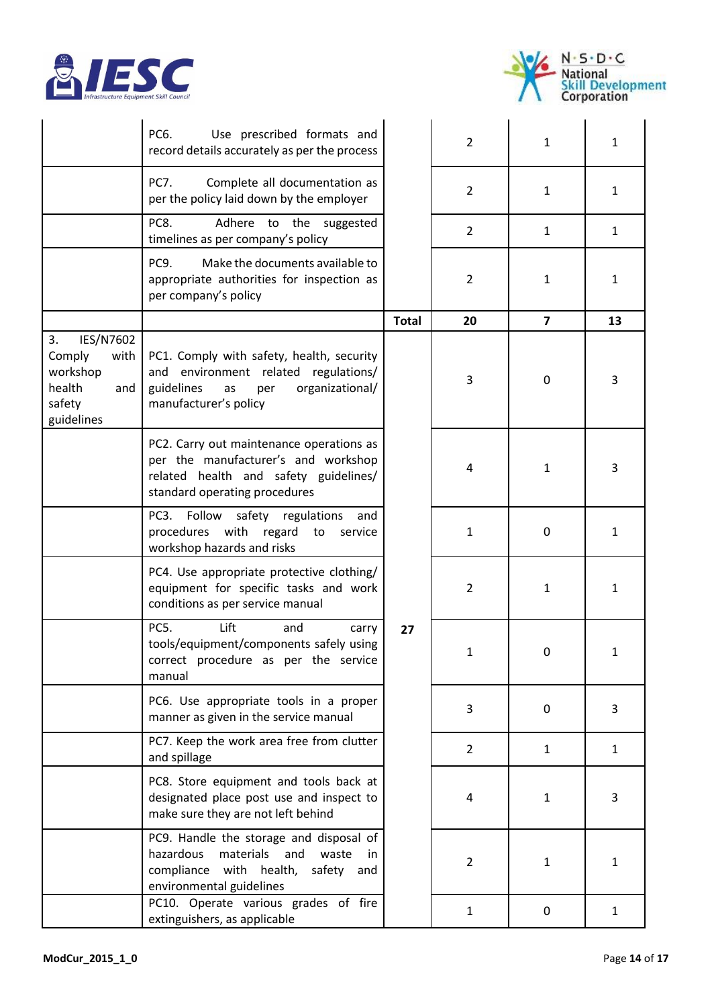



|                                                                                        | PC6.<br>Use prescribed formats and<br>record details accurately as per the process                                                                        |              | $\overline{2}$ | $\mathbf{1}$            | $\mathbf{1}$ |
|----------------------------------------------------------------------------------------|-----------------------------------------------------------------------------------------------------------------------------------------------------------|--------------|----------------|-------------------------|--------------|
|                                                                                        | PC7.<br>Complete all documentation as<br>per the policy laid down by the employer                                                                         |              | $\overline{2}$ | 1                       | 1            |
|                                                                                        | Adhere to the<br>PC8.<br>suggested<br>timelines as per company's policy                                                                                   |              | $\overline{2}$ | $\mathbf{1}$            | $\mathbf{1}$ |
|                                                                                        | Make the documents available to<br>PC9.<br>appropriate authorities for inspection as<br>per company's policy                                              |              | $\overline{2}$ | 1                       | $\mathbf{1}$ |
|                                                                                        |                                                                                                                                                           | <b>Total</b> | 20             | $\overline{\mathbf{z}}$ | 13           |
| IES/N7602<br>3.<br>with<br>Comply<br>workshop<br>health<br>and<br>safety<br>guidelines | PC1. Comply with safety, health, security<br>and environment related regulations/<br>guidelines<br>organizational/<br>as<br>per<br>manufacturer's policy  |              | 3              | $\pmb{0}$               | 3            |
|                                                                                        | PC2. Carry out maintenance operations as<br>per the manufacturer's and workshop<br>related health and safety guidelines/<br>standard operating procedures |              | 4              | $\mathbf{1}$            | 3            |
|                                                                                        | Follow<br>safety<br>PC3.<br>regulations<br>and<br>procedures with regard to<br>service<br>workshop hazards and risks                                      |              | $\mathbf{1}$   | $\mathbf 0$             | 1            |
|                                                                                        | PC4. Use appropriate protective clothing/<br>equipment for specific tasks and work<br>conditions as per service manual                                    |              | $\overline{2}$ | $\mathbf{1}$            | $\mathbf{1}$ |
|                                                                                        | <b>PC5.</b><br>Lift<br>and<br>carry<br>tools/equipment/components safely using<br>correct procedure as per the service<br>manual                          | 27           | 1              | 0                       |              |
|                                                                                        | PC6. Use appropriate tools in a proper<br>manner as given in the service manual                                                                           |              | 3              | 0                       | 3            |
|                                                                                        | PC7. Keep the work area free from clutter<br>and spillage                                                                                                 |              | $\overline{2}$ | $\mathbf{1}$            | $\mathbf{1}$ |
|                                                                                        | PC8. Store equipment and tools back at<br>designated place post use and inspect to<br>make sure they are not left behind                                  |              | 4              | $\mathbf{1}$            | 3            |
|                                                                                        | PC9. Handle the storage and disposal of<br>materials and<br>hazardous<br>waste<br>in.<br>compliance with health, safety and<br>environmental guidelines   |              | $\overline{2}$ | $\mathbf{1}$            | 1            |
|                                                                                        | PC10. Operate various grades of fire<br>extinguishers, as applicable                                                                                      |              | $\mathbf{1}$   | 0                       | $\mathbf{1}$ |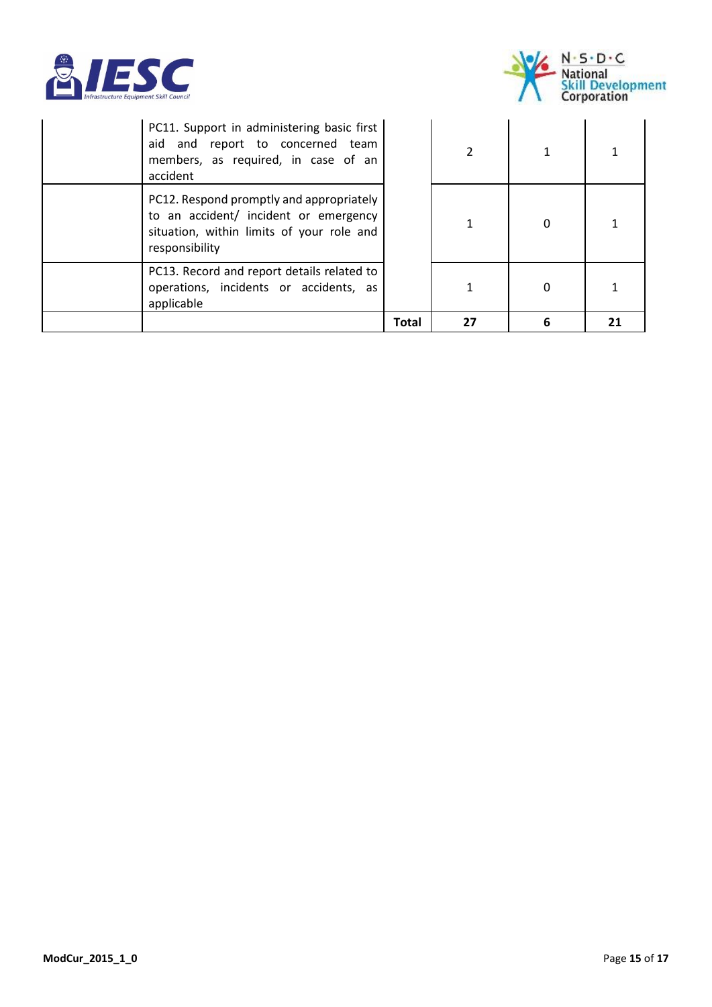



|                                                                                                                                                  | Total | 27             | 6 |  |
|--------------------------------------------------------------------------------------------------------------------------------------------------|-------|----------------|---|--|
| PC13. Record and report details related to<br>operations, incidents or accidents, as<br>applicable                                               |       |                | 0 |  |
| PC12. Respond promptly and appropriately<br>to an accident/ incident or emergency<br>situation, within limits of your role and<br>responsibility |       |                | 0 |  |
| PC11. Support in administering basic first<br>aid and report to concerned team<br>members, as required, in case of an<br>accident                |       | $\overline{2}$ |   |  |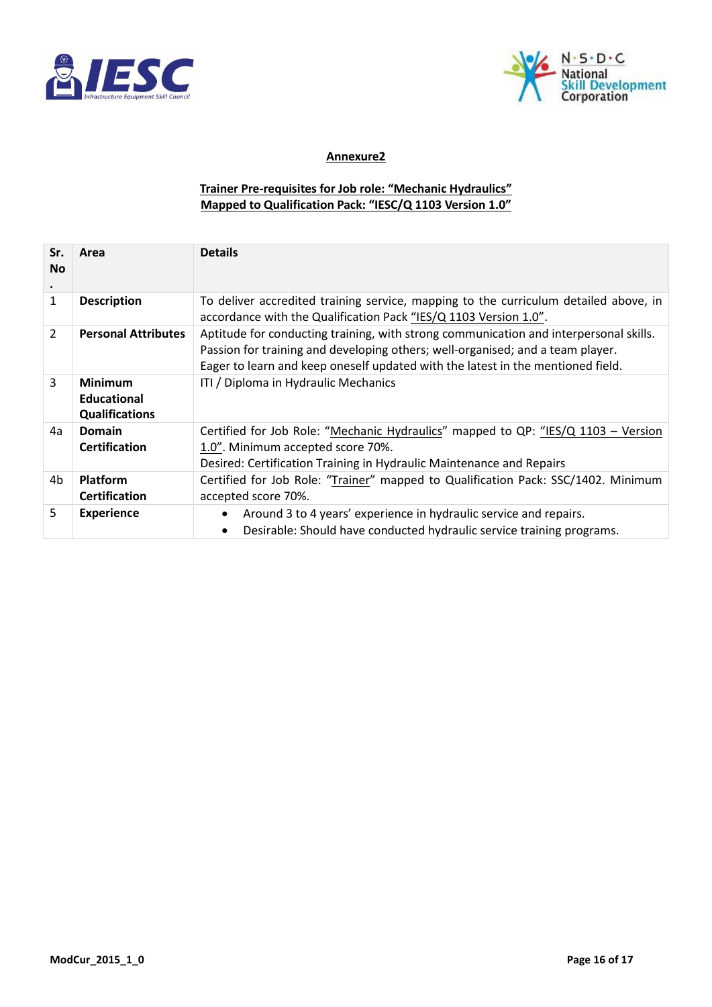



#### **Annexure2**

#### **Trainer Pre-requisites for Job role: "Mechanic Hydraulics" Mapped to Qualification Pack: "IESC/Q 1103 Version 1.0"**

| Sr.<br><b>No</b> | Area                                                          | <b>Details</b>                                                                                                                                                                                                                                             |
|------------------|---------------------------------------------------------------|------------------------------------------------------------------------------------------------------------------------------------------------------------------------------------------------------------------------------------------------------------|
| 1                | <b>Description</b>                                            | To deliver accredited training service, mapping to the curriculum detailed above, in<br>accordance with the Qualification Pack "IES/Q 1103 Version 1.0".                                                                                                   |
| 2                | <b>Personal Attributes</b>                                    | Aptitude for conducting training, with strong communication and interpersonal skills.<br>Passion for training and developing others; well-organised; and a team player.<br>Eager to learn and keep oneself updated with the latest in the mentioned field. |
| 3                | <b>Minimum</b><br><b>Educational</b><br><b>Qualifications</b> | ITI / Diploma in Hydraulic Mechanics                                                                                                                                                                                                                       |
| 4a               | Domain<br><b>Certification</b>                                | Certified for Job Role: "Mechanic Hydraulics" mapped to QP: "IES/Q 1103 - Version<br>1.0". Minimum accepted score 70%.<br>Desired: Certification Training in Hydraulic Maintenance and Repairs                                                             |
| 4b               | <b>Platform</b><br><b>Certification</b>                       | Certified for Job Role: "Trainer" mapped to Qualification Pack: SSC/1402. Minimum<br>accepted score 70%.                                                                                                                                                   |
| 5.               | <b>Experience</b>                                             | Around 3 to 4 years' experience in hydraulic service and repairs.<br>$\bullet$<br>Desirable: Should have conducted hydraulic service training programs.<br>$\bullet$                                                                                       |